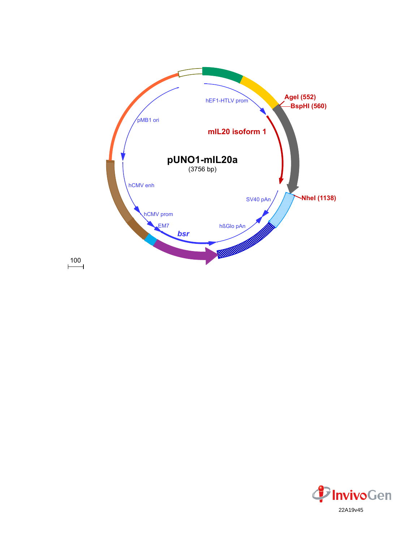

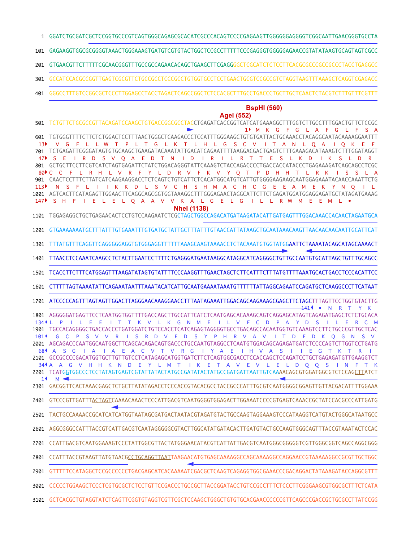- GGATCTGCGATCGCTCCGGTGCCCGTCAGTGGGCAGAGCGCACATCGCCCACAGTCCCCGAGAAGTTGGGGGGAGGGGTCGGCAATTGAACGGGTGCCTA 1
- GAGAAGGTGGCGCGGGGTAAACTGGGAAAGTGATGTCGTGTACTGGCTCCGCCTTTTTCCCGAGGGTGGGGGAGAACCGTATATAAGTGCAGTAGTCGCC 101
- GTGAACGTTCTTTTTCGCAACGGGTTTGCCGCCAGAACACAGCTGAAGCTTCGAGGGGCTCGCATCTCTCCTTCACGCGCCCGCCGCCCTACCTGAGGCC 201
- GCCATCCACGCCGGTTGAGTCGCGTTCTGCCGCCTCCCGCCTGTGGTGCCTCCTGAACTGCGTCCGCCGTCTAGGTAAGTTTAAAGCTCAGGTCGAGACC 301
- GGGCCTTTGTCCGGCGCTCCCTTGGAGCCTACCTAGACTCAGCCGGCTCTCCACGCTTTGCCTGACCCTGCTTGCTCAACTCTACGTCTTTGTTTCGTTT 401

## **BspHI (560)**

**AgeI (552)** TCTGTTCTGCGCCGTTACAGATCCAAGCTGTGACCGGCGCCTACCTGAGATCACCGGTCATCATGAAAGGCTTTGGTCTTGCCTTTGGACTGTTCTCCGC 501 M K G F G L A F G L F S A 1 TGTGGGTTTTCTTCTCTGGACTCCTTTAACTGGGCTCAAGACCCTCCATTTGGGAAGCTGTGTGATTACTGCAAACCTACAGGCAATACAAAAGGAATTT 601 V G F L L W T P L T G L K T L H L G S C V I T A N L O A I O K E  $13<sup>b</sup>$ TCTGAGATTCGGGATAGTGTGCAAGCTGAAGATACAAATATTGACATCAGAATTTTAAGGACGACTGAGTCTTTGAAAGACATAAAGTCTTTGGATAGGT 701 S E I R D S V Q A E D T N I D I R I L R T T E S L K D I K S L D R 47 GCTGCTTCCTTCGTCATCTAGTGAGATTCTATCTGGACAGGGTATTCAAAGTCTACCAGACCCCTGACCACCATACCCTGAGAAAGATCAGCAGCCTCGC 801 C C F L R H L V R F Y L D R V F K V Y Q T P D H H T L R K I S S L A 80 CAACTCCTTTCTTATCATCAAGAAGGACCTCTCAGTCTGTCATTCTCACATGGCATGTCATTGTGGGGAAGAAGCAATGGAGAAATACAACCAAATTCTG 901 N S F L I I K K D L S V C H S H M A C H C G E E A M E K Y N Q  $113$ AGTCACTTCATAGAGTTGGAACTTCAGGCAGCGGTGGTAAAGGCTTTGGGAGAACTAGGCATTCTTCTGAGATGGATGGAGGAGATGCTATAGATGAAAG 1001 S H F I E L E L Q A A V V K A L G E L G I L L R W M E E M L • 147**NheI (1138)** TGGAGAGGCTGCTGAGAACACTCCTGTCCAAGAATCTCGCTAGCTGGCCAGACATGATAAGATACATTGATGAGTTTGGACAAACCACAACTAGAATGCA 1101 GTGAAAAAAATGCTTTATTTGTGAAATTTGTGATGCTATTGCTTTATTTGTAACCATTATAAGCTGCAATAAACAAGTTAACAACAACAATTGCATTCAT 1201 1301 TTTATGTTTCAGGTTCAGGGGGAGGTGTGGGAGGTTTTTTAAAGCAAGTAAAACCTCTACAAATGTGGTATGGAATTCTAAAATACAGCATAGCAAAACT TTAACCTCCAAATCAAGCCTCTACTTGAATCCTTTTCTGAGGGATGAATAAGGCATAGGCATCAGGGGCTGTTGCCAATGTGCATTAGCTGTTTGCAGCC 1401 1501 TCACCTTCTTTCATGGAGTTTAAGATATAGTGTATTTTCCCAAGGTTTGAACTAGCTCTTCATTTCTTTATGTTTTAAATGCACTGACCTCCCACATTCC CTTTTTAGTAAAATATTCAGAAATAATTTAAATACATCATTGCAATGAAAATAAATGTTTTTTATTAGGCAGAATCCAGATGCTCAAGGCCCTTCATAAT 1601 1701 ATCCCCCAGTTTAGTAGTTGGACTTAGGGAACAAAGGAACCTTTAATAGAAATTGGACAGCAAGAAAGCGAGCTTCTAGCTTTAGTTCCTGGTGTACTTG <del>14</del>14 • N R T Y K 1801 AGGGGGATGAGTTCCTCAATGGTGGTTTTGACCAGCTTGCCATTCATCTCAATGAGCACAAAGCAGTCAGGAGCATAGTCAGAGATGAGCTCTCTGCACA 134 ALP I LE E I T T K V L K G N M E I L V F C D P A Y D S I L E R C M TGCCACAGGGGCTGACCACCCTGATGGATCTGTCCACCTCATCAGAGTAGGGGTGCCTGACAGCCACAATGGTGTCAAAGTCCTTCTGCCCGTTGCTCAC 1901 G C P S V V R I S R D V E D S Y P H R V A V I T D F D K Q G N S V 101 2001 AGCAGACCCAATGGCAATGGCTTCAGCACAGACAGTGACCCTGCCAATGTAGGCCTCAATGTGGACAGCAGAGATGATCTCCCCAGTCTTGGTCCTGATG A S G I A I A E A C V T V R G I Y A E I H V A S I I E G T K T R I 68 2101 GCCGCCCCGACATGGTGCTTGTTGTCCTCATAGAGCATGGTGATCTTCTCAGTGGCGACCTCCACCAGCTCCAGATCCTGCTGAGAGATGTTGAAGGTCT 344A A G V H H K N D E Y L M T I K E T A V E V L E L D Q Q S I N F T K 2201 TCATG<u>G</u>TGGCCCTCCTATAGTGAGTCGTATTATACTATGCCGATATACTATGCCGATGATTAATTGTCAA**AA**CAGCGTGGATGGCGTCTCCAG<u>CTT</u>ATCT z. M 1 GACGGTTCACTAAACGAGCTCTGCTTATATAGACCTCCCACCGTACACGCCTACCGCCCATTTGCGTCAATGGGGCGGAGTTGTTACGACATTTTGGAAA 2301 2401 GTCCCGTTGATTT<u>ACTAGT</u>CAAAACAAACTCCCATTGACGTCAATGGGGTGGAGACTTGGAAATCCCCGTGAGTCAAACCGCTATCCACGCCCATTGATG 2501 TACTGCCAAAACCGCATCATCATGGTAATAGCGATGACTAATACGTAGATGTACTGCCAAGTAGGAAAGTCCCATAAGGTCATGTACTGGGCATAATGCC 2601 AGGCGGGCCATTTACCGTCATTGACGTCAATAGGGGGCGTACTTGGCATATGATACACTTGATGTACTGCCAAGTGGGCAGTTTACCGTAAATACTCCAC CCATTGACGTCAATGGAAAGTCCCTATTGGCGTTACTATGGGAACATACGTCATTATTGACGTCAATGGGCGGGGGTCGTTGGGCGGTCAGCCAGGCGGG 2701 CCATTTACCGTAAGTTATGTAACGCCTGCAGGTTAATTAAGAACATGTGAGCAAAAGGCCAGCAAAAGGCCAGGAACCGTAAAAAGGCCGCGTTGCTGGC 2801 GTTTTTCCATAGGCTCCGCCCCCCTGACGAGCATCACAAAAATCGACGCTCAAGTCAGAGGTGGCGAAACCCGACAGGACTATAAAGATACCAGGCGTTT 2901 3001 CCCCCTGGAAGCTCCCTCGTGCGCTCTCCTGTTCCGACCCTGCCGCTTACCGGATACCTGTCCGCCTTTCTCCCTTCGGGAAGCGTGGCGCTTTCTCATA 3101 GCTCACGCTGTAGGTATCTCAGTTCGGTGTAGGTCGTTCGCTCCAAGCTGGGCTGTGTGCACGAACCCCCCGTTCAGCCCGACCGCTGCGCCTTATCCGG